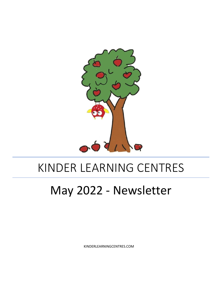

## KINDER LEARNING CENTRES

# May 2022 - Newsletter

KINDERLEARNINGCENTRES.COM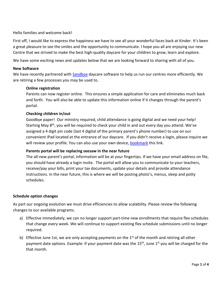## Hello families and welcome back!

First off, I would like to express the happiness we have to see all your wonderful faces back at Kinder. It's been a great pleasure to see the smiles and the opportunity to communicate. I hope you all are enjoying our new Centre that we strived to make the best high-quality daycare for your children to grow, learn and explore.

We have some exciting news and updates below that we are looking forward to sharing with all of you.

## **New Software**

We have recently partnered with [Sandbox](https://www.runsandbox.com/) daycare software to help us run our centres more efficiently. We are retiring a few processes you may be used to.

## **Online registration**

Parents can now register online. This ensures a simple application for care and eliminates much back and forth. You will also be able to update this information online if it changes through the parent's portal.

#### **Checking children in/out**

Goodbye paper! Our ministry required, child attendance is going digital and we need your help! Starting May 8<sup>th</sup>, you will be required to check your child in and out every day you attend. We've assigned a 4 digit pin code (last 4 digital of the primary parent's phone number) to use on our convenient iPad located at the entrance of our daycare. If you didn't receive a login, please inquire we will review your profile. You can also use your own device, [bookmark](https://register.runsandbox.com/Register/?form=7b1f0f4a-7da8-4285-a4d4-2d439b37045e) this link.

## **Parents portal will be replacing seesaw in the near future**

The all-new parent's portal, information will be at your fingertips. If we have your email address on file, you should have already a login invite. The portal will allow you to communicate to your teachers, receive/pay your bills, print your tax documents, update your details and provide attendance instructions. In the near future, this is where we will be posting photo's, menus, sleep and potty schedules.

#### **Schedule option changes**

As part our ongoing evolution we must drive efficiencies to allow scalability. Please review the following changes to our available programs.

- a) Effective immediately, we can no longer support part-time new enrollments that require flex schedules that change every week. We will continue to support existing flex schedule submissions until no longer required.
- b) Effective June 1st, we are only accepting payments on the  $1<sup>st</sup>$  of the month and retiring all other payment date options. Example: if your payment date was the 15<sup>th</sup>, June 1<sup>st</sup> you will be charged for the that month.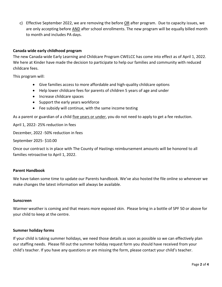c) Effective September 2022, we are removing the before  $OR$  after program. Due to capacity issues, we are only accepting before AND after school enrollments. The new program will be equally billed month to month and includes PA days.

## **Canada wide early childhood program**

The new Canada-wide Early Learning and Childcare Program CWELCC has come into effect as of April 1, 2022. We here at Kinder have made the decision to participate to help our families and community with reduced childcare fees.

This program will:

- Give families access to more affordable and high-quality childcare options
- Help lower childcare fees for parents of children 5 years of age and under
- Increase childcare spaces
- Support the early years workforce
- Fee subsidy will continue, with the same income testing

As a parent or guardian of a child five years or under, you do not need to apply to get a fee reduction.

April 1, 2022- 25% reduction in fees

December, 2022 -50% reduction in fees

September 2025- \$10.00

Once our contract is in place with The County of Hastings reimbursement amounts will be honored to all families retroactive to April 1, 2022.

## **Parent Handbook**

We have taken some time to update our Parents handbook. We've also hosted the file online so whenever we make changes the latest information will always be available.

#### **Sunscreen**

Warmer weather is coming and that means more exposed skin. Please bring in a bottle of SPF 50 or above for your child to keep at the centre.

#### **Summer holiday forms**

If your child is taking summer holidays, we need those details as soon as possible so we can effectively plan our staffing needs. Please fill out the summer holiday request form you should have received from your child's teacher. If you have any questions or are missing the form, please contact your child's teacher.